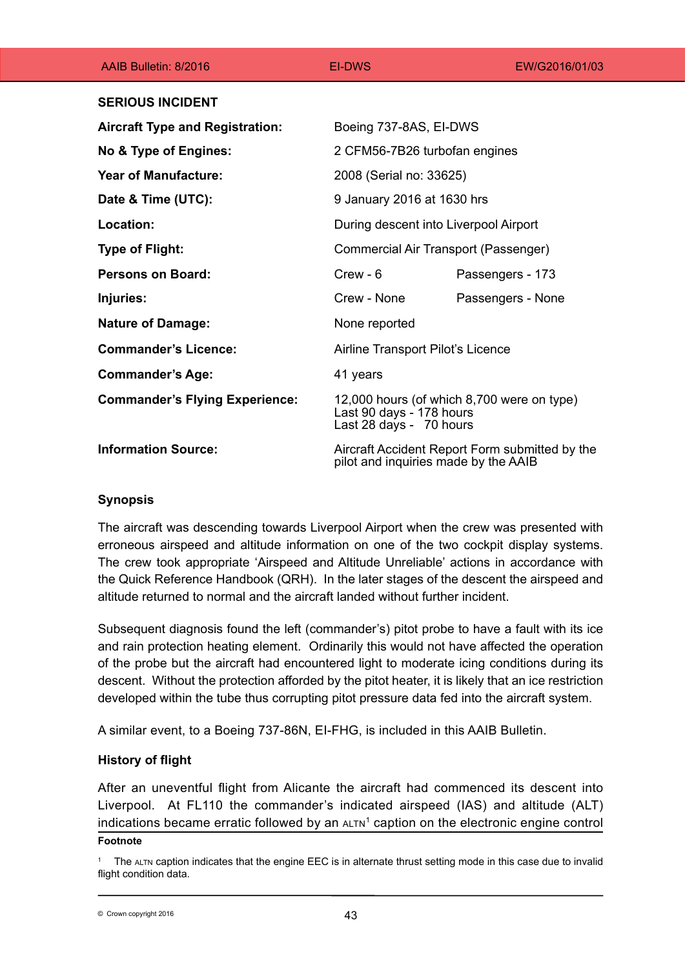| AAIB Bulletin: 8/2016                  | <b>EI-DWS</b>                                                                                     | EW/G2016/01/03    |
|----------------------------------------|---------------------------------------------------------------------------------------------------|-------------------|
| <b>SERIOUS INCIDENT</b>                |                                                                                                   |                   |
| <b>Aircraft Type and Registration:</b> | Boeing 737-8AS, EI-DWS                                                                            |                   |
| No & Type of Engines:                  | 2 CFM56-7B26 turbofan engines                                                                     |                   |
| <b>Year of Manufacture:</b>            | 2008 (Serial no: 33625)                                                                           |                   |
| Date & Time (UTC):                     | 9 January 2016 at 1630 hrs                                                                        |                   |
| Location:                              | During descent into Liverpool Airport                                                             |                   |
| <b>Type of Flight:</b>                 | Commercial Air Transport (Passenger)                                                              |                   |
| <b>Persons on Board:</b>               | $C$ rew - $6$                                                                                     | Passengers - 173  |
| Injuries:                              | Crew - None                                                                                       | Passengers - None |
| <b>Nature of Damage:</b>               | None reported                                                                                     |                   |
| <b>Commander's Licence:</b>            | Airline Transport Pilot's Licence                                                                 |                   |
| <b>Commander's Age:</b>                | 41 years                                                                                          |                   |
| <b>Commander's Flying Experience:</b>  | 12,000 hours (of which 8,700 were on type)<br>Last 90 days - 178 hours<br>Last 28 days - 70 hours |                   |
| <b>Information Source:</b>             | Aircraft Accident Report Form submitted by the<br>pilot and inquiries made by the AAIB            |                   |

# **Synopsis**

The aircraft was descending towards Liverpool Airport when the crew was presented with erroneous airspeed and altitude information on one of the two cockpit display systems. The crew took appropriate 'Airspeed and Altitude Unreliable' actions in accordance with the Quick Reference Handbook (QRH). In the later stages of the descent the airspeed and altitude returned to normal and the aircraft landed without further incident.

Subsequent diagnosis found the left (commander's) pitot probe to have a fault with its ice and rain protection heating element. Ordinarily this would not have affected the operation of the probe but the aircraft had encountered light to moderate icing conditions during its descent. Without the protection afforded by the pitot heater, it is likely that an ice restriction developed within the tube thus corrupting pitot pressure data fed into the aircraft system.

A similar event, to a Boeing 737-86N, EI-FHG, is included in this AAIB Bulletin.

# **History of flight**

After an uneventful flight from Alicante the aircraft had commenced its descent into Liverpool. At FL110 the commander's indicated airspeed (IAS) and altitude (ALT) indications became erratic followed by an  $A L T N^1$  caption on the electronic engine control

### **Footnote**

The ALTN caption indicates that the engine EEC is in alternate thrust setting mode in this case due to invalid flight condition data.

<sup>43</sup> © Crown copyright 2016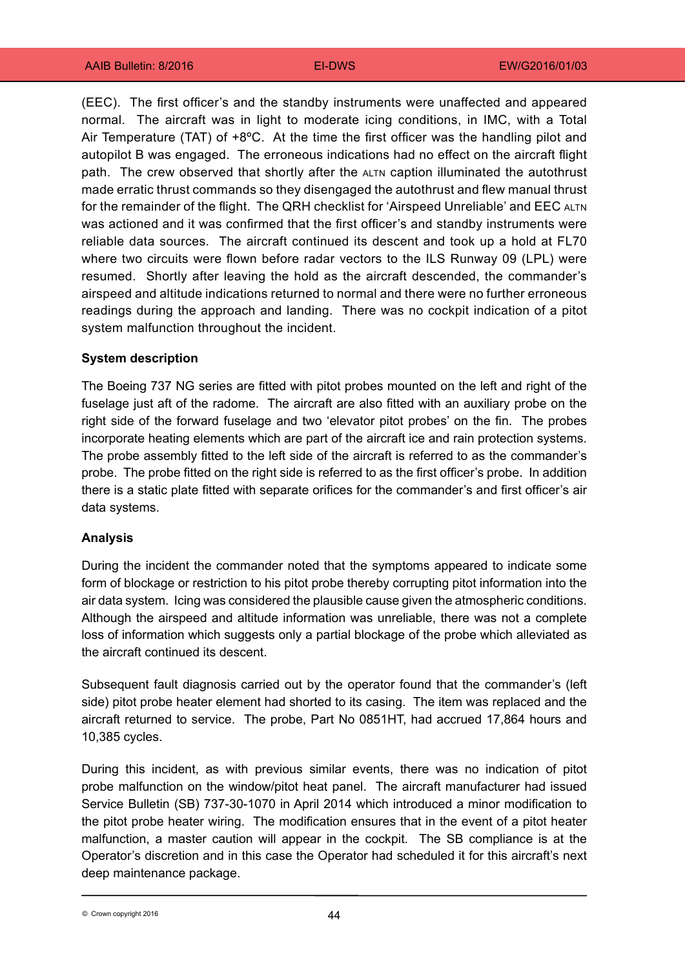(EEC). The first officer's and the standby instruments were unaffected and appeared normal. The aircraft was in light to moderate icing conditions, in IMC, with a Total Air Temperature (TAT) of +8ºC. At the time the first officer was the handling pilot and autopilot B was engaged. The erroneous indications had no effect on the aircraft flight path. The crew observed that shortly after the ALTN caption illuminated the autothrust made erratic thrust commands so they disengaged the autothrust and flew manual thrust for the remainder of the flight. The QRH checklist for 'Airspeed Unreliable' and EEC ALTN was actioned and it was confirmed that the first officer's and standby instruments were reliable data sources. The aircraft continued its descent and took up a hold at FL70 where two circuits were flown before radar vectors to the ILS Runway 09 (LPL) were resumed. Shortly after leaving the hold as the aircraft descended, the commander's airspeed and altitude indications returned to normal and there were no further erroneous readings during the approach and landing. There was no cockpit indication of a pitot system malfunction throughout the incident.

### **System description**

The Boeing 737 NG series are fitted with pitot probes mounted on the left and right of the fuselage just aft of the radome. The aircraft are also fitted with an auxiliary probe on the right side of the forward fuselage and two 'elevator pitot probes' on the fin. The probes incorporate heating elements which are part of the aircraft ice and rain protection systems. The probe assembly fitted to the left side of the aircraft is referred to as the commander's probe. The probe fitted on the right side is referred to as the first officer's probe. In addition there is a static plate fitted with separate orifices for the commander's and first officer's air data systems.

#### **Analysis**

During the incident the commander noted that the symptoms appeared to indicate some form of blockage or restriction to his pitot probe thereby corrupting pitot information into the air data system. Icing was considered the plausible cause given the atmospheric conditions. Although the airspeed and altitude information was unreliable, there was not a complete loss of information which suggests only a partial blockage of the probe which alleviated as the aircraft continued its descent.

Subsequent fault diagnosis carried out by the operator found that the commander's (left side) pitot probe heater element had shorted to its casing. The item was replaced and the aircraft returned to service. The probe, Part No 0851HT, had accrued 17,864 hours and 10,385 cycles.

During this incident, as with previous similar events, there was no indication of pitot probe malfunction on the window/pitot heat panel. The aircraft manufacturer had issued Service Bulletin (SB) 737-30-1070 in April 2014 which introduced a minor modification to the pitot probe heater wiring. The modification ensures that in the event of a pitot heater malfunction, a master caution will appear in the cockpit. The SB compliance is at the Operator's discretion and in this case the Operator had scheduled it for this aircraft's next deep maintenance package.

44 © Crown copyright 2016